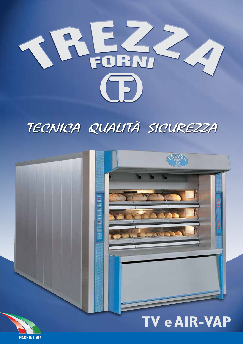

# TECNICA QUALITÀ SICUREZZA



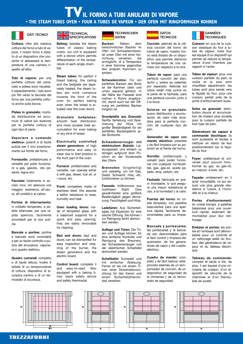**TVIL FORNO A TUBI ANULARI DI VAPORE • THE STEAM TUBES OVEN • FOUR A TUBES DE VAPEUR • DER OFEN MIT RINGFÖRMIGEN ROHREN** 



cottura del forno a tubi di vapore, il nostro forno è dotato di un dispositivo che consente di abbassare la temperatura di una camera rispetto all'altra. **Cottura:** oltre alla classica

perfetta cottura del pane, cielo e platea sono riscaldati separatamente; i tubi sono più fitti verso la facciata del forno per una perfetta cottura anche sulla bocca. **Tubi di vapore:** per una

da distribuzione ed accumulo di calore più durevole per la perfetta cottura di ogni tipo di pane. **Platee in granulato:** morbi-

**Vaporiere a comando elettrico:** potenti e di facile pulizia per il loro posiziona-.<br>mento sul fronte del forno. **Vaporiere a comando**

versatile per poter funzionare a gas, gasolio, olio pere a gas, gasolio, olio pe-sante, legna ecc. sante, legna ecc. **Fornacella:** prefabbricata e

**Facciata:** totalmente in ac-ciaio inox; ciò assicura una ciaio inox; ciò assicura una maggior resistenza all'usumaggior resistenza all'usura, all'umidità e al calore. ra, all'umidità e al calore. **Facciata:** totalmente in ac-

**Portine di informamento:**<br>in cristallo temperato, a pain cristallo temperato, a palette bilanciate, per una ra-lette bilanciate, per una rapida apertura; facilmente pida apertura; facilmente smontabili per la loro puli-smontabili per la loro pulizia. **Portine di infornamento:** zia.

**Bancale e portine:** portine **Bancale e portine:** portine e bancale sono smontabili e bancale sono smontabili a per un facile controllo e pu-a per un facile controllo e pulizia del bruciatore, vaporie-lizia del bruciatore, vaporiere e quadro elettrico. re e quadro elettrico.

**Quadro comandi:** completo **Quadro comandi:** completo e di facile lettura, inoltre è e di facile lettura, inoltre è dotato di un temporizzatore dotato di un temporizzatore di cottura, dispositivo di si-di cottura, dispositivo di sicurezza camino e di un ter-curezza camino e di un termostato di sicurezza. mostato di sicurezza.

#### $\blacksquare$  SPECIFICATIONS DATI TECNICI **NECHNICAL**

tubes of classic baking ovens, our unit is equipped with a device which permits differentiation of the temperature of each single cham $er.$ **Baking:** besides the steam ber.

bread baking, the ceiling and the bedplate are separately heated; the steam tubes are more numerous towards the front of the oven for perfect baking even when the bread is situated near the oven doors. **Steam tubes:** for perfect il

smooth heat distribution and more durable heat accumulation for even baking of any kind of bread. **Granulate bedplates:**

steam generators: of high performance and easy to .<br>clean due to their position in the front part of the oven. the front part of the oven. **Electrically controlled**

versatile, can operate either versatile, can operate either a with gas, diesel, fuel oil, or a with gas, diesel, fuel oil, or i wood, etc.  $i$   $\cdots$ **Furnace:** prefabricated and

**Front:** completely made of stainiess steel; this assures stainiess steel; this assures a better resistance to wear, a better resistance to wear, humidity and heat. humidity and heat. **Front:** completely made of

**Oven loading doors:** ma-**Oven loading doors:** made of tempered glass with de of tempered glass with a balanced supporis for a quick and easy opening; quick and easy opening; they are easily removable they are easily removable for cleaning. for cleaning. a balanced supporis for a

**Bed and doors:** bed and **Bed and doors:** bed and doors can be dismantled for doors can be dismantled for easy inspeotion and clea-easy inspeotion and cleaning of the burner, the ning of the burner, the steam generators and the steam generators and the electric board. electric board.

**Control board:** complete il **Control board:** complete il and easy-to-read. Also and easy-to-read. Also equipped wilh a baking ti-equipped wilh a baking timer, stack safety device mer, stack safety device and safety thermostat. and safety thermostat.

#### DATEN **TECHNISCHEN**

**FOR A FORM IN THE STEAM TODES OF A TUBES BE VALIDATE BETWEEN THE MINOLUMENTAL MUNICIPAL STEAM IN THE STEAM IN THE STEAM IN THE STEAM IN THE STEAM IN THE STEAM IN THE STEAM IN THE STEAM IN THE STEAM IN THE STEAM IN THE STE** 

ner Kommunchen: Backen: mit<br>Ofen mit Schwadenrobren, Dien mit Schwauenfooren. ist unser Ofen mit einer Vorichtung versehen, die ermöglicht, di e Temperatur in einer Kammer gegenüber den anderen Kammern zu senken. Nehen **Backen:** Neben dem herkommlichen Backen im richtung versehen, die

Schwadenrohre: Für ein perfektes Backen des Brots ist die Kammer oben und unten separat geheizt. In der Nähe der Fassade sind mehrer e Rohre angebracht, damit auch bei der Öffnung ein perfektes Backen möglich ist.

Sanfte Verteilung und Speicherung der Hitze mit großer Beständigkeit für ein perfektes Backergebnis jeder Brotsorte. **Grundplatte aus Granulat:**

**Schwadenerrouger mit elektrischem Betrieb:** Leistungsstark und einfach zu reinigen aufgrund ibrer Position an der Vorderseite des Ofens. **Schwadenerrouger mit**

und vielseitig, um mit Gas, mit vielseinig, um mit start, Gasöl, Schweröl, Holz, etc. funktionieren zu können. funktionieren zu können. **Brennofen:** Vorgefertigt

**Fassade:** Vollkommen aus rostfreiem Stahl. Dies rostmommen Stahl. Dies gewährleistet eine größere Beständigkeit gegen Abnut-Beständigkeit gegen Abnut-<br>Jung-Foughtigkeit und Hitze zung, Feuchtigkeit und Hitze. zung, Feuchtigkeit und Hitze. **Fassade:** Vollkommen aus<br>rostfreiem Stahl. Dies

**Ladetüren:** Aus Sicherteit-sglas mit Kipptüren für eine sglas mit Kipptüren für eine rasche Öffnung. Sie können i rasche Öffnung. Sie können i zur Reinigung leicht abmontiert werden. tiert werden. **Ladetüren:** Aus Sicherteit-

**Auflage und Türen:** Die Tü-**Auflage und Türen:** Die Türen und Auflage können für ren und Auflage können für eine einfache Kontrolle und eine einfache Kontrolle und Reinigung des Brenners, Reinigung des Brenners, der Schwadenerzeuger und der Schwadenerzeuger und der elektrischen Schalitafel der elektrischen Schalitafel ahmontiert werden. ahmontiert werden.

**Schalttafel:** Komplett und **Schalttafel:** Komplett und mit einfacher Ablesung. mit einfacher Ablesung. Ferner ist sie mit einem Ti-Ferner ist sie mit einem Timer, einer Sicherheitsvorri-mer, einer Sicherheitsvorrichtung für den Kamin und chtung für den Kamin und einem Sicherheitsthermo-einem Sicherheitsthermostat versehen. stat versehen.

#### **TÉCNICOS DATOS**

sica cocción del horno de tubos de vapor, nuestro horno está dotado de un dispositivo que permite disminuir la temperatura de una cámara con respecto a la otra. Cocción: además de la clá-

**Tubos de vapor:** para una perfecta cocción del plan, techo y solera se calientan por separado. Además los tubos están más juntos en la parte de la fachada, para una perfecia cocción junto a il la boca.

sueve distribución y acumulación de calor más duradera para la perfecta cocción de cualquier tipo de pan. **Soleras en granulado:**

mando eléctrico: potentes y de fácil limpieza por su posición en el frente del horno. **Generador de vapor con**

versatil para poder funcionar con cualquier cornbustible, gas, gas-oil, aceite peare, gas, gas-oil, aceite pe sado, lena, carbón, etc. sado, lena, carbón, etc. **Hornilla:** prefabricada y

recrited in abricada en ace-<br>ro inoxidable, lo que aseguro inoxidable, lo que asegu-ra una mayor resistencia al ra una mayor resistencia al uso, a la humedad y al calor. uso, a la humedad y al calor. **Fachada:** fabricada en ace-

**Puertas del horno:** en cri-stal templado, con pestillos stal templado, con pestillos<br>basculantes para una aperbasculantes para una aper-tura rápida, facilmente detura rápida, facilmente desmontables para su limpie-smontables para su limpieza. za. **Puertas del horno:** en cri-

**Bancada y portezuelas: Bancada y portezuelas:** las portezuelas y la banca-las portezuelas y la bancada son desmontables para da son desmontables para el fácil control y limpieza del el fácil control y limpieza del quemador, de los genera-quemador, de los generadores de vapor y del cuadro dores de vapor y del cuadro eléctrico. eléctrico.

**Cuadro de mando:** com-**Cuadro de mando:** completo y de fácil loetura: está pleto y de fácil loetura: está provisto además de un tem-provisto además de un temporizador de cocción, de un porizador de cocción, de un dispositivo de seguridad de dispositivo de seguridad de la chimenea y de un termo-la chimenea y de un termostato de seguridad. stato de seguridad.

TECHNIQUES DANNÉES

son classique du four à tubes de vapeur, notre four est équipé d'un dispositif qui permet de réduire la température d'une chambre par rapport à l'autre. Cuisson: en sus de la cuis-

**Tubes de vapeur:** pour une cuisson parfaite du pain, la voûte et la sole sont chauffées séparément; les tubes sont plus serrés vers la façade du four, pour une cuisson parfait près de la porte d'enfournement aussi.

bution douce et accumulation de chaleur plus durable pour la cuisson parfaite de tout type de pain. **Soles en granulat:** distri-

commande éloctrique: ils sont puissants et faciles à nettoyer en raison de leur positionnement sur la façade du four. **Génératours de vapeur à**

versel pour pouvoir fonctionner au gaz, au gas-oil,  $\frac{1}{2}$  au mazout à bois atc au mazout, à bois, etc. au mazout, à bois, etc. **Foyer:** préfabriqué et uni-

acier inoxydable, ce qui asacier inoxydable, ce qui as-sure une plus grande résistance à l'usure, à l'humistance à la station  $\frac{1}{2}$ dité et à la chalcur. dité et à la chalcur. **Façade:** entièrement en il

**Portes d'enfournement:** en cristal trempé, à palettes en cristal trempé, à palettes balancées pour une ouverbalancées pour une ouverture rapide; aisément dé-ture rapide; aisément démontables pour leur net-montables pour leur nettoyage. toyage. **Portes d'enfournement:**

**Embase et portes:** les portes et l'embase sont démon-tes et l'embase sont démontables pour un controle et tables pour un controle et un nettoyage aisés du bru-un nettoyage aisés du bruleur, des générateurs de va-leur, des générateurs de vapeur et du tableau électri-peur et du tableau électrique. que. **Embase et portes:** les por-

**Tableau de commande: Tableau de commande:** complet et facile à lire; de complet et facile à lire; de plus, il est équipé d'une mi-plus, il est équipé d'une minuterie de cuisson, d'un di-nuterie de cuisson, d'un dispositif de sécurité de la spositif de sécurité de la cheminée et d'un thermo-cheminée et d'un thermostat de sureté. stat de sureté.

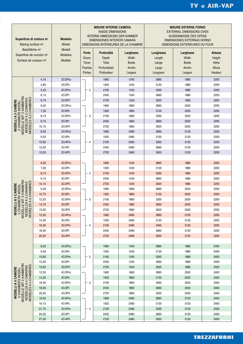| Superficie di cottura m <sup>2</sup><br>Baking surface m <sup>2</sup><br>Backfläche m <sup>2</sup><br>Superficie de cocción m <sup>2</sup><br>Surface de cuisson m <sup>2</sup> |                | <b>Modello</b><br>Model<br>Modell<br><b>Modelos</b><br>Modèle | <b>MISURE INTERNE CAMERA</b><br><b>INSIDE DIMENSIONS</b><br><b>INTERNE ABMESSUNG DER KAMMER</b><br><b>DIMENSIONES INTERIOR CAMARA</b><br>DIMENSIONS INTERIEURES DE LA CHAMBRE |                                                           |                                                         | <b>MISURE ESTERNE FORNO</b><br><b>EXTERNAL DIMENSIONS OVEN</b><br><b>AUSSENMASSE DES OFENS</b><br>DIMENSIONES EXTERNAS HORNO<br>DIMENSIONS EXTERIEURES DU FOUR |                                                         |                                                |
|---------------------------------------------------------------------------------------------------------------------------------------------------------------------------------|----------------|---------------------------------------------------------------|-------------------------------------------------------------------------------------------------------------------------------------------------------------------------------|-----------------------------------------------------------|---------------------------------------------------------|----------------------------------------------------------------------------------------------------------------------------------------------------------------|---------------------------------------------------------|------------------------------------------------|
|                                                                                                                                                                                 |                |                                                               | Porte<br><b>Doors</b><br>Türen<br>Puertas<br>Portes                                                                                                                           | Profondità<br>Depth<br>Tiefe<br>Profundidad<br>Profondeur | Larghezza<br>Width<br><b>Breite</b><br>Ancho<br>Largeur | Lunghezza<br>Length<br>Länge<br>Largo<br>Longueur                                                                                                              | Larghezza<br>Width<br><b>Breite</b><br>Ancho<br>Largeur | Altezza<br>Height<br>Höhe<br>Altura<br>Hauteur |
| MODELLE MIT 2 KAMMERN<br>MODELES A 2 CHAMBRES<br>CAMARAS<br>CAMERE<br>2 CHAMBERS MODEL<br>$\sim$<br>$\sim$<br><b>MODELLIA</b><br>MODELOS A                                      | 4,15           | 2C/2Pcc                                                       | $\overline{2}$<br>3<br>$\overline{4}$                                                                                                                                         | 1660                                                      | 1240                                                    | 2865                                                                                                                                                           | 1880                                                    | 2200                                           |
|                                                                                                                                                                                 | 4,80           | 2C/2Pc                                                        |                                                                                                                                                                               | 1925                                                      | 1240                                                    | 3130                                                                                                                                                           | 1880                                                    | 2200                                           |
|                                                                                                                                                                                 | 5,45           | 2C/2Pm                                                        |                                                                                                                                                                               | 2190                                                      | 1240                                                    | 3395                                                                                                                                                           | 1880                                                    | 2200                                           |
|                                                                                                                                                                                 | 6,15           | 2C/2PI                                                        |                                                                                                                                                                               | 2455                                                      | 1240                                                    | 3660                                                                                                                                                           | 1880                                                    | 2200                                           |
|                                                                                                                                                                                 | 6,75           | 2C/2PII                                                       |                                                                                                                                                                               | 2720                                                      | 1240                                                    | 3925                                                                                                                                                           | 1880                                                    | 2200                                           |
|                                                                                                                                                                                 | 6,20           | 2C/3Pcc                                                       |                                                                                                                                                                               | 1660                                                      | 1860                                                    | 2865                                                                                                                                                           | 2500                                                    | 2200                                           |
|                                                                                                                                                                                 | 7,20           | 2C/3Pc                                                        |                                                                                                                                                                               | 1925                                                      | 1860                                                    | 3130                                                                                                                                                           | 2500                                                    | 2200                                           |
|                                                                                                                                                                                 | 8,15           | 2C/3Pm                                                        |                                                                                                                                                                               | 2190                                                      | 1860                                                    | 3395                                                                                                                                                           | 2500                                                    | 2200                                           |
|                                                                                                                                                                                 | 9,15           | 2C/3PI                                                        |                                                                                                                                                                               | 2455                                                      | 1860                                                    | 3660                                                                                                                                                           | 2500                                                    | 2200                                           |
|                                                                                                                                                                                 | 10,15          | 2C/3PII                                                       |                                                                                                                                                                               | 2720                                                      | 1860                                                    | 3925                                                                                                                                                           | 2500                                                    | 2200                                           |
|                                                                                                                                                                                 | 8,25           | 2C/4Pcc                                                       |                                                                                                                                                                               | 1660                                                      | 2480                                                    | 2865                                                                                                                                                           | 3120                                                    | 2200                                           |
|                                                                                                                                                                                 | 9,55           | 2C/4Pc                                                        |                                                                                                                                                                               | 1925                                                      | 2480                                                    | 3130                                                                                                                                                           | 3120                                                    | 2200                                           |
|                                                                                                                                                                                 | 10,90          | 2C/4Pm                                                        |                                                                                                                                                                               | 2190                                                      | 2480                                                    | 3395                                                                                                                                                           | 3120                                                    | 2200                                           |
|                                                                                                                                                                                 | 12,20          | 2C/4PI                                                        |                                                                                                                                                                               | 2455                                                      | 2480                                                    | 3660                                                                                                                                                           | 3120                                                    | 2200                                           |
| LE MIT 3 KAMMERN<br>LOS A 3 CAMARAS<br>ES A 3 CHAMBRES<br>3 CAMERE<br><b>IAMBERS MODEL</b><br>⋖<br>ELLI.<br>3 CH,<br>MODELL<br>MODEL<br>MODEL<br><b>NODI</b>                    | 13,50          | 2C/4PII                                                       | $\overline{2}$<br>3<br>4                                                                                                                                                      | 2720                                                      | 2480                                                    | 3925                                                                                                                                                           | 3120                                                    | 2200                                           |
|                                                                                                                                                                                 | 6,20           | 3C/2Pcc                                                       |                                                                                                                                                                               | 1660                                                      | 1240                                                    | 2865                                                                                                                                                           | 1880                                                    | 2200                                           |
|                                                                                                                                                                                 | 7,20           | 3C/2Pc                                                        |                                                                                                                                                                               | 1925                                                      | 1240                                                    | 3130                                                                                                                                                           | 1880                                                    | 2200                                           |
|                                                                                                                                                                                 | 8,15           | 3C/2Pm                                                        |                                                                                                                                                                               | 2190                                                      | 1240                                                    | 3395                                                                                                                                                           | 1880                                                    | 2200                                           |
|                                                                                                                                                                                 | 9,15           | 3C/2PI                                                        |                                                                                                                                                                               | 2455                                                      | 1240                                                    | 3660                                                                                                                                                           | 1880                                                    | 2200                                           |
|                                                                                                                                                                                 | 10,15          | 3C/2PII                                                       |                                                                                                                                                                               | 2720                                                      | 1240                                                    | 3925                                                                                                                                                           | 1880                                                    | 2200                                           |
|                                                                                                                                                                                 | 9,30           | 3C/3Pcc                                                       |                                                                                                                                                                               | 1660                                                      | 1860                                                    | 2865                                                                                                                                                           | 2500                                                    | 2200                                           |
|                                                                                                                                                                                 | 10,75          | 3C/3Pc                                                        |                                                                                                                                                                               | 1925                                                      | 1860                                                    | 3130                                                                                                                                                           | 2500                                                    | 2200                                           |
|                                                                                                                                                                                 | 12,25          | 3C/3Pm                                                        |                                                                                                                                                                               | 2190                                                      | 1860                                                    | 3395                                                                                                                                                           | 2500                                                    | 2200                                           |
|                                                                                                                                                                                 | 13,70          | 3C/3PI                                                        |                                                                                                                                                                               | 2455                                                      | 1860                                                    | 3660                                                                                                                                                           | 2500                                                    | 2200                                           |
|                                                                                                                                                                                 | 15,20          | 3C/3PII                                                       |                                                                                                                                                                               | 2720                                                      | 1860                                                    | 3925                                                                                                                                                           | 2500                                                    | 2200                                           |
|                                                                                                                                                                                 | 12,35          | 3C/4Pcc                                                       |                                                                                                                                                                               | 1660                                                      | 2480                                                    | 2865                                                                                                                                                           | 3120                                                    | 2200                                           |
|                                                                                                                                                                                 | 14,35          | 3C/4Pc                                                        |                                                                                                                                                                               | 1925                                                      | 2480                                                    | 3130                                                                                                                                                           | 3120                                                    | 2200                                           |
|                                                                                                                                                                                 | 16,30          | 3C/4Pm<br>3C/4PI                                              |                                                                                                                                                                               | 2190                                                      | 2480<br>2480                                            | 3395                                                                                                                                                           | 3120<br>3120                                            | 2200<br>2200                                   |
|                                                                                                                                                                                 | 18,30<br>20,25 | 3C/4PII                                                       |                                                                                                                                                                               | 2455<br>2720                                              | 2480                                                    | 3660<br>3925                                                                                                                                                   | 3120                                                    | 2200                                           |
|                                                                                                                                                                                 |                |                                                               |                                                                                                                                                                               |                                                           |                                                         |                                                                                                                                                                |                                                         |                                                |
| MODELLE MIT 4 KAMMERN<br>MODELOS A 4 CAMARAS<br>MODELES A 4 CHAMBRES<br>MODELLI A 4 CAMERE<br>4 CHAMBERS MODEL                                                                  | 8,25           | 4C/2Pcc                                                       | - 2<br>3<br>4                                                                                                                                                                 | 1660                                                      | 1240                                                    | 2865                                                                                                                                                           | 1880                                                    | 2400                                           |
|                                                                                                                                                                                 | 9,55           | 4C/2Pc                                                        |                                                                                                                                                                               | 1925                                                      | 1240                                                    | 3130                                                                                                                                                           | 1880                                                    | 2400                                           |
|                                                                                                                                                                                 | 10,90          | 4C/2Pm                                                        |                                                                                                                                                                               | 2190                                                      | 1240                                                    | 3395                                                                                                                                                           | 1880                                                    | 2400                                           |
|                                                                                                                                                                                 | 12,20          | 4C/2PI                                                        |                                                                                                                                                                               | 2455                                                      | 1240                                                    | 3660                                                                                                                                                           | 1880                                                    | 2400                                           |
|                                                                                                                                                                                 | 13,50          | 3C/2PII                                                       |                                                                                                                                                                               | 2720                                                      | 1240                                                    | 3925                                                                                                                                                           | 1880                                                    | 2400                                           |
|                                                                                                                                                                                 | 12,35          | 4C/3Pcc                                                       |                                                                                                                                                                               | 1660                                                      | 1860                                                    | 2865                                                                                                                                                           | 2500                                                    | 2400                                           |
|                                                                                                                                                                                 | 14,35          | 4C/3Pc                                                        |                                                                                                                                                                               | 1925                                                      | 1860                                                    | 3130                                                                                                                                                           | 2500                                                    | 2400                                           |
|                                                                                                                                                                                 | 16,30          | 4C/3Pm                                                        |                                                                                                                                                                               | 2190                                                      | 1860                                                    | 3395                                                                                                                                                           | 2500                                                    | 2400                                           |
|                                                                                                                                                                                 | 18,30          | 4C/3PI                                                        |                                                                                                                                                                               | 2455                                                      | 1860                                                    | 3660                                                                                                                                                           | 2500                                                    | 2400                                           |
|                                                                                                                                                                                 | 20,25          | 4C/3PII                                                       |                                                                                                                                                                               | 2720                                                      | 1860                                                    | 3925                                                                                                                                                           | 2500                                                    | 2400                                           |
|                                                                                                                                                                                 | 16,50          | 4C/4Pcc                                                       |                                                                                                                                                                               | 1660                                                      | 2480                                                    | 2865                                                                                                                                                           | 3120                                                    | 2400                                           |
|                                                                                                                                                                                 | 19,10          | 4C/4Pc                                                        |                                                                                                                                                                               | 1925                                                      | 2480                                                    | 3130                                                                                                                                                           | 3120                                                    | 2400                                           |
|                                                                                                                                                                                 | 21,75          | 4C/4Pm                                                        |                                                                                                                                                                               | 2190                                                      | 2480                                                    | 3395                                                                                                                                                           | 3120                                                    | 2400                                           |
|                                                                                                                                                                                 | 24,35          | 4C/4PI                                                        |                                                                                                                                                                               | 2455                                                      | 2480                                                    | 3660                                                                                                                                                           | 3120                                                    | 2400                                           |
|                                                                                                                                                                                 | 27,00          | 4C/4PII                                                       |                                                                                                                                                                               | 2720                                                      | 2480                                                    | 3925                                                                                                                                                           | 3120                                                    | 2400                                           |

*FORNO TV FORNO TV FORNO TV*